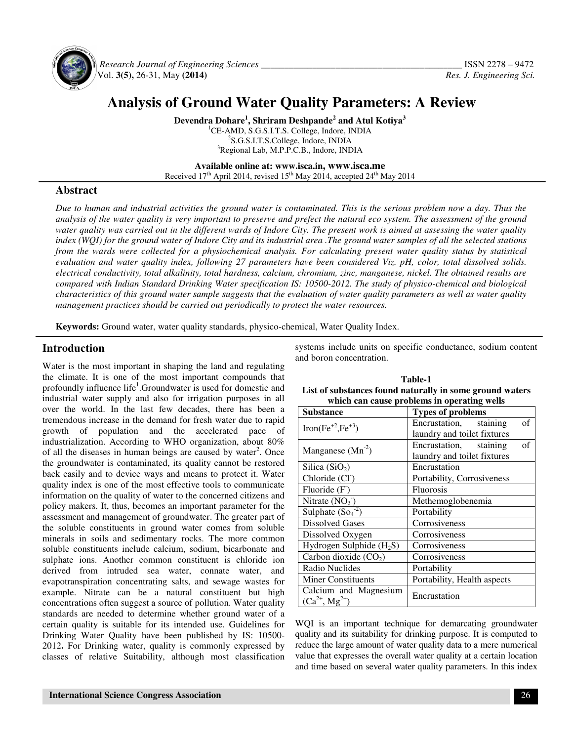

 *Research Journal of Engineering Sciences \_\_\_\_\_\_\_\_\_\_\_\_\_\_\_\_\_\_\_\_\_\_\_\_\_\_\_\_\_\_\_\_\_\_\_\_\_\_\_\_\_\_\_* ISSN 2278 – 9472 Vol. **3(5),** 26-31, May **(2014)** *Res. J. Engineering Sci.*

# **Analysis of Ground Water Quality Parameters: A Review**

**Devendra Dohare<sup>1</sup> , Shriram Deshpande<sup>2</sup> and Atul Kotiya<sup>3</sup>** <sup>1</sup>CE-AMD, S.G.S.I.T.S. College, Indore, INDIA 2 S.G.S.I.T.S.College, Indore, INDIA <sup>3</sup>Regional Lab, M.P.P.C.B., Indore, INDIA

**Available online at: www.isca.in, www.isca.me** Received  $17<sup>th</sup>$  April 2014, revised  $15<sup>th</sup>$  May 2014, accepted  $24<sup>th</sup>$  May 2014

# **Abstract**

*Due to human and industrial activities the ground water is contaminated. This is the serious problem now a day. Thus the analysis of the water quality is very important to preserve and prefect the natural eco system. The assessment of the ground water quality was carried out in the different wards of Indore City. The present work is aimed at assessing the water quality index (WQI) for the ground water of Indore City and its industrial area .The ground water samples of all the selected stations from the wards were collected for a physiochemical analysis. For calculating present water quality status by statistical evaluation and water quality index, following 27 parameters have been considered Viz. pH, color, total dissolved solids. electrical conductivity, total alkalinity, total hardness, calcium, chromium, zinc, manganese, nickel. The obtained results are compared with Indian Standard Drinking Water specification IS: 10500-2012. The study of physico-chemical and biological characteristics of this ground water sample suggests that the evaluation of water quality parameters as well as water quality management practices should be carried out periodically to protect the water resources.* 

**Keywords:** Ground water, water quality standards, physico-chemical, Water Quality Index.

## **Introduction**

Water is the most important in shaping the land and regulating the climate. It is one of the most important compounds that profoundly influence life<sup>1</sup>. Groundwater is used for domestic and industrial water supply and also for irrigation purposes in all over the world. In the last few decades, there has been a tremendous increase in the demand for fresh water due to rapid growth of population and the accelerated pace of industrialization. According to WHO organization, about 80% of all the diseases in human beings are caused by water<sup>2</sup>. Once the groundwater is contaminated, its quality cannot be restored back easily and to device ways and means to protect it. Water quality index is one of the most effective tools to communicate information on the quality of water to the concerned citizens and policy makers. It, thus, becomes an important parameter for the assessment and management of groundwater. The greater part of the soluble constituents in ground water comes from soluble minerals in soils and sedimentary rocks. The more common soluble constituents include calcium, sodium, bicarbonate and sulphate ions. Another common constituent is chloride ion derived from intruded sea water, connate water, and evapotranspiration concentrating salts, and sewage wastes for example. Nitrate can be a natural constituent but high concentrations often suggest a source of pollution. Water quality standards are needed to determine whether ground water of a certain quality is suitable for its intended use. Guidelines for Drinking Water Quality have been published by IS: 10500- 2012**.** For Drinking water, quality is commonly expressed by classes of relative Suitability, although most classification systems include units on specific conductance, sodium content and boron concentration.

| <b>Table-1</b>                                           |  |  |  |
|----------------------------------------------------------|--|--|--|
| List of substances found naturally in some ground waters |  |  |  |
| which can cause problems in operating wells              |  |  |  |

| <b>Types of problems</b>     |  |  |
|------------------------------|--|--|
| of<br>Encrustation, staining |  |  |
| laundry and toilet fixtures  |  |  |
| of<br>Encrustation, staining |  |  |
| laundry and toilet fixtures  |  |  |
| Encrustation                 |  |  |
| Portability, Corrosiveness   |  |  |
| <b>Fluorosis</b>             |  |  |
| Methemoglobenemia            |  |  |
| Portability                  |  |  |
| Corrosiveness                |  |  |
| Corrosiveness                |  |  |
| Corrosiveness                |  |  |
| Corrosiveness                |  |  |
| Portability                  |  |  |
| Portability, Health aspects  |  |  |
| Encrustation                 |  |  |
|                              |  |  |

WQI is an important technique for demarcating groundwater quality and its suitability for drinking purpose. It is computed to reduce the large amount of water quality data to a mere numerical value that expresses the overall water quality at a certain location and time based on several water quality parameters. In this index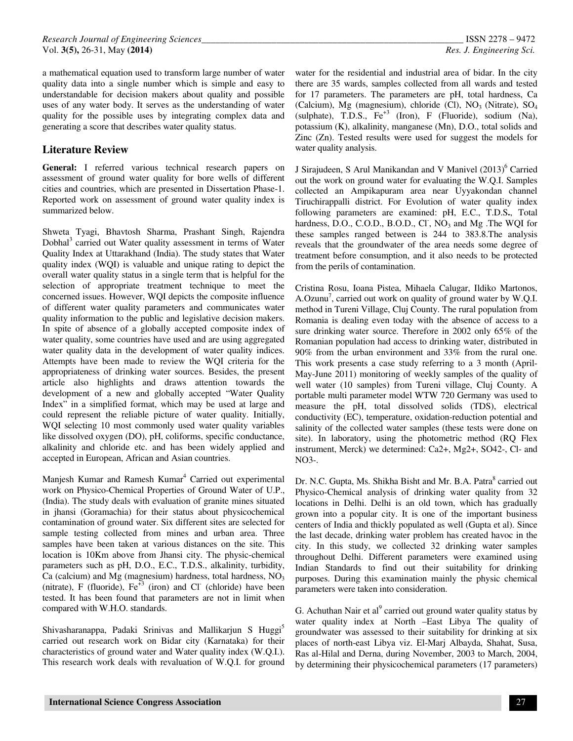a mathematical equation used to transform large number of water quality data into a single number which is simple and easy to understandable for decision makers about quality and possible uses of any water body. It serves as the understanding of water quality for the possible uses by integrating complex data and generating a score that describes water quality status.

# **Literature Review**

**General:** I referred various technical research papers on assessment of ground water quality for bore wells of different cities and countries, which are presented in Dissertation Phase-1. Reported work on assessment of ground water quality index is summarized below.

Shweta Tyagi, Bhavtosh Sharma, Prashant Singh, Rajendra Dobhal<sup>3</sup> carried out Water quality assessment in terms of Water Quality Index at Uttarakhand (India). The study states that Water quality index (WQI) is valuable and unique rating to depict the overall water quality status in a single term that is helpful for the selection of appropriate treatment technique to meet the concerned issues. However, WQI depicts the composite influence of different water quality parameters and communicates water quality information to the public and legislative decision makers. In spite of absence of a globally accepted composite index of water quality, some countries have used and are using aggregated water quality data in the development of water quality indices. Attempts have been made to review the WQI criteria for the appropriateness of drinking water sources. Besides, the present article also highlights and draws attention towards the development of a new and globally accepted "Water Quality Index" in a simplified format, which may be used at large and could represent the reliable picture of water quality. Initially, WQI selecting 10 most commonly used water quality variables like dissolved oxygen (DO), pH, coliforms, specific conductance, alkalinity and chloride etc. and has been widely applied and accepted in European, African and Asian countries.

Manjesh Kumar and Ramesh Kumar<sup>4</sup> Carried out experimental work on Physico-Chemical Properties of Ground Water of U.P., (India). The study deals with evaluation of granite mines situated in jhansi (Goramachia) for their status about physicochemical contamination of ground water. Six different sites are selected for sample testing collected from mines and urban area. Three samples have been taken at various distances on the site. This location is 10Km above from Jhansi city. The physic-chemical parameters such as pH, D.O., E.C., T.D.S., alkalinity, turbidity, Ca (calcium) and Mg (magnesium) hardness, total hardness,  $NO<sub>3</sub>$ (nitrate), F (fluoride),  $Fe^{+3}$  (iron) and Cl (chloride) have been tested. It has been found that parameters are not in limit when compared with W.H.O. standards.

Shivasharanappa, Padaki Srinivas and Mallikarjun S Huggi<sup>5</sup> carried out research work on Bidar city (Karnataka) for their characteristics of ground water and Water quality index (W.Q.I.). This research work deals with revaluation of W.Q.I. for ground

water for the residential and industrial area of bidar. In the city there are 35 wards, samples collected from all wards and tested for 17 parameters. The parameters are pH, total hardness, Ca (Calcium), Mg (magnesium), chloride (Cl),  $NO<sub>3</sub>$  (Nitrate),  $SO<sub>4</sub>$ (sulphate), T.D.S.,  $Fe^{+3}$  (Iron), F (Fluoride), sodium (Na), potassium (K), alkalinity, manganese (Mn), D.O., total solids and Zinc (Zn). Tested results were used for suggest the models for water quality analysis.

J Sirajudeen, S Arul Manikandan and V Manivel (2013)<sup>6</sup> Carried out the work on ground water for evaluating the W.Q.I. Samples collected an Ampikapuram area near Uyyakondan channel Tiruchirappalli district. For Evolution of water quality index following parameters are examined: pH, E.C., T.D.S**.**, Total hardness, D.O., C.O.D., B.O.D., Cl,  $NO_3$  and Mg . The WQI for these samples ranged between is 244 to 383.8.The analysis reveals that the groundwater of the area needs some degree of treatment before consumption, and it also needs to be protected from the perils of contamination.

Cristina Rosu, Ioana Pistea, Mihaela Calugar, Ildiko Martonos, A.Ozunu<sup>7</sup>, carried out work on quality of ground water by W.Q.I. method in Tureni Village, Cluj County. The rural population from Romania is dealing even today with the absence of access to a sure drinking water source. Therefore in 2002 only 65% of the Romanian population had access to drinking water, distributed in 90% from the urban environment and 33% from the rural one. This work presents a case study referring to a 3 month (April-May-June 2011) monitoring of weekly samples of the quality of well water (10 samples) from Tureni village, Cluj County. A portable multi parameter model WTW 720 Germany was used to measure the pH, total dissolved solids (TDS), electrical conductivity (EC), temperature, oxidation-reduction potential and salinity of the collected water samples (these tests were done on site). In laboratory, using the photometric method (RQ Flex instrument, Merck) we determined: Ca2+, Mg2+, SO42-, Cl- and  $NO<sub>3-</sub>$ 

Dr. N.C. Gupta, Ms. Shikha Bisht and Mr. B.A. Patra<sup>8</sup> carried out Physico-Chemical analysis of drinking water quality from 32 locations in Delhi. Delhi is an old town, which has gradually grown into a popular city. It is one of the important business centers of India and thickly populated as well (Gupta et al). Since the last decade, drinking water problem has created havoc in the city. In this study, we collected 32 drinking water samples throughout Delhi. Different parameters were examined using Indian Standards to find out their suitability for drinking purposes. During this examination mainly the physic chemical parameters were taken into consideration.

G. Achuthan Nair et al $^9$  carried out ground water quality status by water quality index at North –East Libya The quality of groundwater was assessed to their suitability for drinking at six places of north-east Libya viz. El-Marj Albayda, Shahat, Susa, Ras al-Hilal and Derna, during November, 2003 to March, 2004, by determining their physicochemical parameters (17 parameters)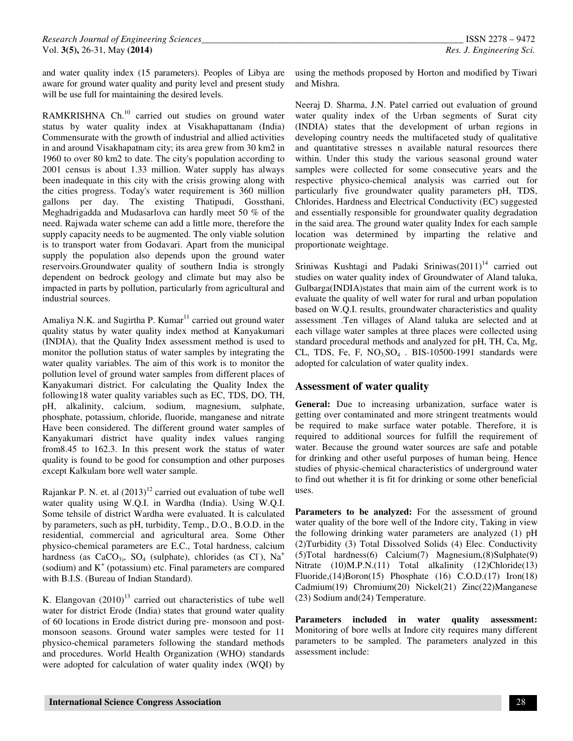and water quality index (15 parameters). Peoples of Libya are aware for ground water quality and purity level and present study will be use full for maintaining the desired levels.

RAMKRISHNA Ch.<sup>10</sup> carried out studies on ground water status by water quality index at Visakhapattanam (India) Commensurate with the growth of industrial and allied activities in and around Visakhapatnam city; its area grew from 30 km2 in 1960 to over 80 km2 to date. The city's population according to 2001 census is about 1.33 million. Water supply has always been inadequate in this city with the crisis growing along with the cities progress. Today's water requirement is 360 million gallons per day. The existing Thatipudi, Gossthani, Meghadrigadda and Mudasarlova can hardly meet 50 % of the need. Rajwada water scheme can add a little more, therefore the supply capacity needs to be augmented. The only viable solution is to transport water from Godavari. Apart from the municipal supply the population also depends upon the ground water reservoirs.Groundwater quality of southern India is strongly dependent on bedrock geology and climate but may also be impacted in parts by pollution, particularly from agricultural and industrial sources.

Amaliya N.K. and Sugirtha P. Kumar<sup>11</sup> carried out ground water quality status by water quality index method at Kanyakumari (INDIA), that the Quality Index assessment method is used to monitor the pollution status of water samples by integrating the water quality variables. The aim of this work is to monitor the pollution level of ground water samples from different places of Kanyakumari district. For calculating the Quality Index the following18 water quality variables such as EC, TDS, DO, TH, pH, alkalinity, calcium, sodium, magnesium, sulphate, phosphate, potassium, chloride, fluoride, manganese and nitrate Have been considered. The different ground water samples of Kanyakumari district have quality index values ranging from8.45 to 162.3. In this present work the status of water quality is found to be good for consumption and other purposes except Kalkulam bore well water sample.

Rajankar P. N. et. al  $(2013)^{12}$  carried out evaluation of tube well water quality using W.Q.I. in Wardha (India). Using W.Q.I. Some tehsile of district Wardha were evaluated. It is calculated by parameters, such as pH, turbidity, Temp., D.O., B.O.D. in the residential, commercial and agricultural area. Some Other physico-chemical parameters are E.C., Total hardness, calcium hardness (as  $CaCO<sub>3</sub>$ , SO<sub>4</sub> (sulphate), chlorides (as Cl<sup>-</sup>), Na<sup>+</sup> (sodium) and  $K^+$  (potassium) etc. Final parameters are compared with B.I.S. (Bureau of Indian Standard).

K. Elangovan  $(2010)^{13}$  carried out characteristics of tube well water for district Erode (India) states that ground water quality of 60 locations in Erode district during pre- monsoon and postmonsoon seasons. Ground water samples were tested for 11 physico-chemical parameters following the standard methods and procedures. World Health Organization (WHO) standards were adopted for calculation of water quality index (WQI) by

using the methods proposed by Horton and modified by Tiwari and Mishra.

Neeraj D. Sharma, J.N. Patel carried out evaluation of ground water quality index of the Urban segments of Surat city (INDIA) states that the development of urban regions in developing country needs the multifaceted study of qualitative and quantitative stresses n available natural resources there within. Under this study the various seasonal ground water samples were collected for some consecutive years and the respective physico-chemical analysis was carried out for particularly five groundwater quality parameters pH, TDS, Chlorides, Hardness and Electrical Conductivity (EC) suggested and essentially responsible for groundwater quality degradation in the said area. The ground water quality Index for each sample location was determined by imparting the relative and proportionate weightage.

Sriniwas Kushtagi and Padaki Sriniwas $(2011)^{14}$  carried out studies on water quality index of Groundwater of Aland taluka, Gulbarga(INDIA)states that main aim of the current work is to evaluate the quality of well water for rural and urban population based on W.Q.I. results, groundwater characteristics and quality assessment .Ten villages of Aland taluka are selected and at each village water samples at three places were collected using standard procedural methods and analyzed for pH, TH, Ca, Mg, CL, TDS, Fe, F,  $NO<sub>3</sub>SO<sub>4</sub>$ . BIS-10500-1991 standards were adopted for calculation of water quality index.

## **Assessment of water quality**

**General:** Due to increasing urbanization, surface water is getting over contaminated and more stringent treatments would be required to make surface water potable. Therefore, it is required to additional sources for fulfill the requirement of water. Because the ground water sources are safe and potable for drinking and other useful purposes of human being. Hence studies of physic-chemical characteristics of underground water to find out whether it is fit for drinking or some other beneficial uses.

Parameters to be analyzed: For the assessment of ground water quality of the bore well of the Indore city, Taking in view the following drinking water parameters are analyzed (1) pH (2)Turbidity (3) Total Dissolved Solids (4) Elec. Conductivity (5)Total hardness(6) Calcium(7) Magnesium,(8)Sulphate(9) Nitrate (10)M.P.N.(11) Total alkalinity (12)Chloride(13) Fluoride,(14)Boron(15) Phosphate (16) C.O.D.(17) Iron(18) Cadmium(19) Chromium(20) Nickel(21) Zinc(22)Manganese (23) Sodium and(24) Temperature.

**Parameters included in water quality assessment:**  Monitoring of bore wells at Indore city requires many different parameters to be sampled. The parameters analyzed in this assessment include: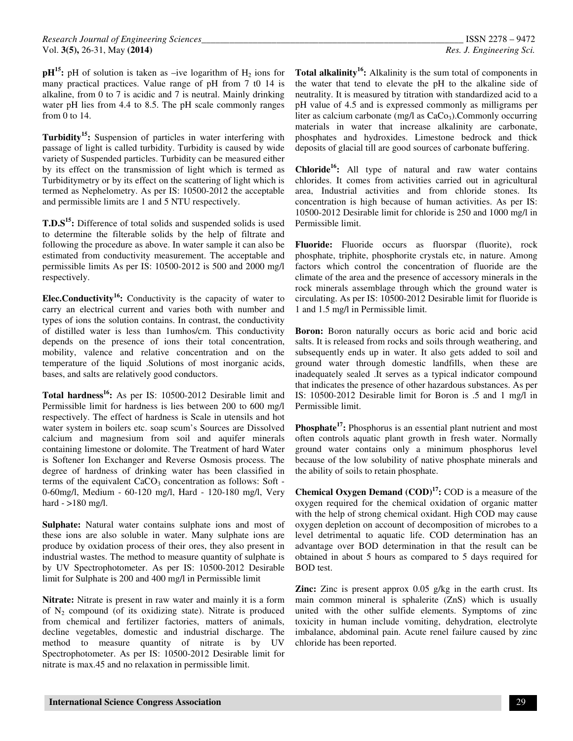$pH^{15}$ **:** pH of solution is taken as –ive logarithm of H<sub>2</sub> ions for many practical practices. Value range of pH from 7 t0 14 is alkaline, from 0 to 7 is acidic and 7 is neutral. Mainly drinking water pH lies from 4.4 to 8.5. The pH scale commonly ranges from 0 to 14.

**Turbidity<sup>15</sup>:** Suspension of particles in water interfering with passage of light is called turbidity. Turbidity is caused by wide variety of Suspended particles. Turbidity can be measured either by its effect on the transmission of light which is termed as Turbiditymetry or by its effect on the scattering of light which is termed as Nephelometry. As per IS: 10500-2012 the acceptable and permissible limits are 1 and 5 NTU respectively.

**T.D.S<sup>15</sup>:** Difference of total solids and suspended solids is used to determine the filterable solids by the help of filtrate and following the procedure as above. In water sample it can also be estimated from conductivity measurement. The acceptable and permissible limits As per IS: 10500-2012 is 500 and 2000 mg/l respectively.

**Elec.Conductivity<sup>16</sup>:** Conductivity is the capacity of water to carry an electrical current and varies both with number and types of ions the solution contains. In contrast, the conductivity of distilled water is less than 1umhos/cm. This conductivity depends on the presence of ions their total concentration, mobility, valence and relative concentration and on the temperature of the liquid .Solutions of most inorganic acids, bases, and salts are relatively good conductors.

**Total hardness<sup>16</sup>:** As per IS: 10500-2012 Desirable limit and Permissible limit for hardness is lies between 200 to 600 mg/l respectively. The effect of hardness is Scale in utensils and hot water system in boilers etc. soap scum's Sources are Dissolved calcium and magnesium from soil and aquifer minerals containing limestone or dolomite. The Treatment of hard Water is Softener Ion Exchanger and Reverse Osmosis process. The degree of hardness of drinking water has been classified in terms of the equivalent  $CaCO<sub>3</sub>$  concentration as follows: Soft -0-60mg/l, Medium - 60-120 mg/l, Hard - 120-180 mg/l, Very hard - >180 mg/l.

**Sulphate:** Natural water contains sulphate ions and most of these ions are also soluble in water. Many sulphate ions are produce by oxidation process of their ores, they also present in industrial wastes. The method to measure quantity of sulphate is by UV Spectrophotometer. As per IS: 10500-2012 Desirable limit for Sulphate is 200 and 400 mg/l in Permissible limit

**Nitrate:** Nitrate is present in raw water and mainly it is a form of  $N_2$  compound (of its oxidizing state). Nitrate is produced from chemical and fertilizer factories, matters of animals, decline vegetables, domestic and industrial discharge. The method to measure quantity of nitrate is by UV Spectrophotometer. As per IS: 10500-2012 Desirable limit for nitrate is max.45 and no relaxation in permissible limit.

**Total alkalinity<sup>16</sup>:** Alkalinity is the sum total of components in the water that tend to elevate the pH to the alkaline side of neutrality. It is measured by titration with standardized acid to a pH value of 4.5 and is expressed commonly as milligrams per liter as calcium carbonate (mg/l as  $CaCo<sub>3</sub>$ ). Commonly occurring materials in water that increase alkalinity are carbonate, phosphates and hydroxides. Limestone bedrock and thick deposits of glacial till are good sources of carbonate buffering.

**Chloride<sup>16</sup>:** All type of natural and raw water contains chlorides. It comes from activities carried out in agricultural area, Industrial activities and from chloride stones. Its concentration is high because of human activities. As per IS: 10500-2012 Desirable limit for chloride is 250 and 1000 mg/l in Permissible limit.

**Fluoride:** Fluoride occurs as fluorspar (fluorite), rock phosphate, triphite, phosphorite crystals etc, in nature. Among factors which control the concentration of fluoride are the climate of the area and the presence of accessory minerals in the rock minerals assemblage through which the ground water is circulating. As per IS: 10500-2012 Desirable limit for fluoride is 1 and 1.5 mg/l in Permissible limit.

**Boron:** Boron naturally occurs as boric acid and boric acid salts. It is released from rocks and soils through weathering, and subsequently ends up in water. It also gets added to soil and ground water through domestic landfills, when these are inadequately sealed .It serves as a typical indicator compound that indicates the presence of other hazardous substances. As per IS: 10500-2012 Desirable limit for Boron is .5 and 1 mg/l in Permissible limit.

**Phosphate<sup>17</sup>**: Phosphorus is an essential plant nutrient and most often controls aquatic plant growth in fresh water. Normally ground water contains only a minimum phosphorus level because of the low solubility of native phosphate minerals and the ability of soils to retain phosphate.

**Chemical Oxygen Demand (COD)<sup>17</sup>:** COD is a measure of the oxygen required for the chemical oxidation of organic matter with the help of strong chemical oxidant. High COD may cause oxygen depletion on account of decomposition of microbes to a level detrimental to aquatic life. COD determination has an advantage over BOD determination in that the result can be obtained in about 5 hours as compared to 5 days required for BOD test.

**Zinc:** Zinc is present approx 0.05 g/kg in the earth crust. Its main common mineral is sphalerite (ZnS) which is usually united with the other sulfide elements. Symptoms of zinc toxicity in human include vomiting, dehydration, electrolyte imbalance, abdominal pain. Acute renel failure caused by zinc chloride has been reported.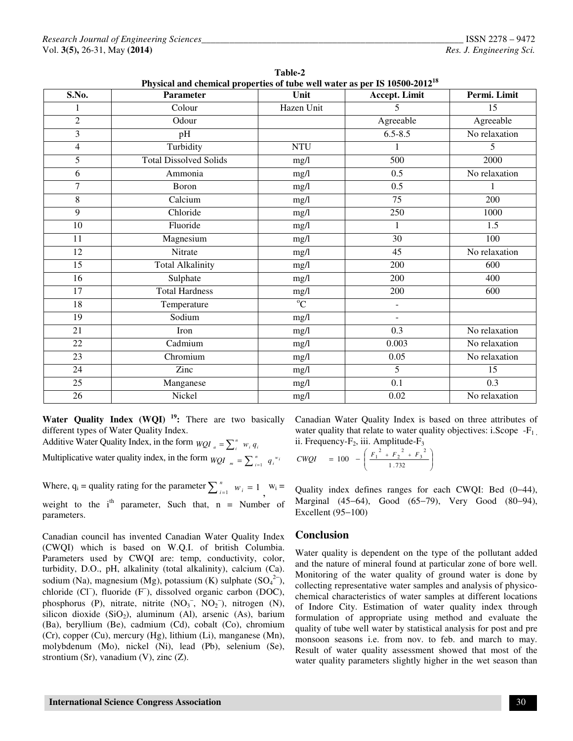| S.No.          | <b>Parameter</b>              | Unit           | Accept. Limit   | Permi. Limit  |
|----------------|-------------------------------|----------------|-----------------|---------------|
| 1              | Colour                        | Hazen Unit     | 5               | 15            |
| $\overline{2}$ | Odour                         | Agreeable      |                 | Agreeable     |
| 3              | pH                            | $6.5 - 8.5$    |                 | No relaxation |
| $\overline{4}$ | Turbidity                     | <b>NTU</b>     |                 | 5             |
| $\overline{5}$ | <b>Total Dissolved Solids</b> | mg/l           | 500             | 2000          |
| 6              | Ammonia                       | mg/l           | 0.5             | No relaxation |
| $\overline{7}$ | Boron                         | mg/l           | 0.5             | 1             |
| 8              | Calcium                       | mg/l           | 75              | 200           |
| 9              | Chloride                      | mg/l           | 250             | 1000          |
| 10             | Fluoride                      | mg/l           | 1               | 1.5           |
| 11             | Magnesium                     | mg/l           | $\overline{30}$ | 100           |
| 12             | Nitrate                       | mg/l           | 45              | No relaxation |
| 15             | <b>Total Alkalinity</b>       | mg/l           | 200             | 600           |
| 16             | Sulphate                      | mg/l           | 200             | 400           |
| 17             | <b>Total Hardness</b>         | mg/l           | 200             | 600           |
| 18             | Temperature                   | $\overline{C}$ | $\blacksquare$  |               |
| 19             | Sodium                        | mg/l           | ٠               |               |
| 21             | Iron                          | mg/l           | 0.3             | No relaxation |
| 22             | Cadmium                       | mg/l           | 0.003           | No relaxation |
| 23             | Chromium                      | mg/l           | 0.05            | No relaxation |
| 24             | Zinc                          | mg/l           | 5               | 15            |
| 25             | Manganese                     | mg/l           | 0.1             | 0.3           |
| 26             | Nickel                        | mg/l           | 0.02            | No relaxation |

|                                                                                  | Table-2 |  |
|----------------------------------------------------------------------------------|---------|--|
| Physical and chemical properties of tube well water as per IS 10500-2012 $^{18}$ |         |  |
|                                                                                  |         |  |

**Water Quality Index (WQI)<sup>19</sup>:** There are two basically different types of Water Quality Index.

Additive Water Quality Index, in the form  $WQI_a = \sum_{i=1}^{n} w_i q_i$  $WQI_a = \sum_i^n w_i q$ 

Multiplicative water quality index, in the form  $WQI_{m} = \sum_{i=1}^{n} q_i^{w_i}$ 

Where,  $q_i$  = quality rating for the parameter  $\sum_{i=1}^{n} w_i = 1$ *n*  $w_i = 1$ ,  $w_i = 1$ ,  $w_i =$ weight to the  $i<sup>th</sup>$  parameter, Such that, n = Number of parameters.

Canadian council has invented Canadian Water Quality Index (CWQI) which is based on W.Q.I. of british Columbia. Parameters used by CWQI are: temp, conductivity, color, turbidity, D.O., pH, alkalinity (total alkalinity), calcium (Ca). sodium (Na), magnesium (Mg), potassium (K) sulphate  $(SO<sub>4</sub><sup>2−</sup>)$ , chloride (Cl<sup>−</sup> ), fluoride (F<sup>−</sup> ), dissolved organic carbon (DOC), phosphorus (P), nitrate, nitrite  $(NO<sub>3</sub><sup>-</sup>, NO<sub>2</sub><sup>-</sup>)$ , nitrogen (N), silicon dioxide  $(SiO<sub>2</sub>)$ , aluminum (Al), arsenic (As), barium (Ba), beryllium (Be), cadmium (Cd), cobalt (Co), chromium (Cr), copper (Cu), mercury (Hg), lithium (Li), manganese (Mn), molybdenum (Mo), nickel (Ni), lead (Pb), selenium (Se), strontium (Sr), vanadium (V), zinc (Z).

Canadian Water Quality Index is based on three attributes of water quality that relate to water quality objectives: i.Scope  $-F_1$ . ii. Frequency- $F_2$ , iii. Amplitude- $F_3$ 

$$
CWQI = 100 - \left(\frac{F_1^2 + F_2^2 + F_3^2}{1.732}\right)
$$

Quality index defines ranges for each CWQI: Bed (0−44), Marginal (45−64), Good (65−79), Very Good (80−94), Excellent (95−100)

## **Conclusion**

Water quality is dependent on the type of the pollutant added and the nature of mineral found at particular zone of bore well. Monitoring of the water quality of ground water is done by collecting representative water samples and analysis of physicochemical characteristics of water samples at different locations of Indore City. Estimation of water quality index through formulation of appropriate using method and evaluate the quality of tube well water by statistical analysis for post and pre monsoon seasons i.e. from nov. to feb. and march to may. Result of water quality assessment showed that most of the water quality parameters slightly higher in the wet season than